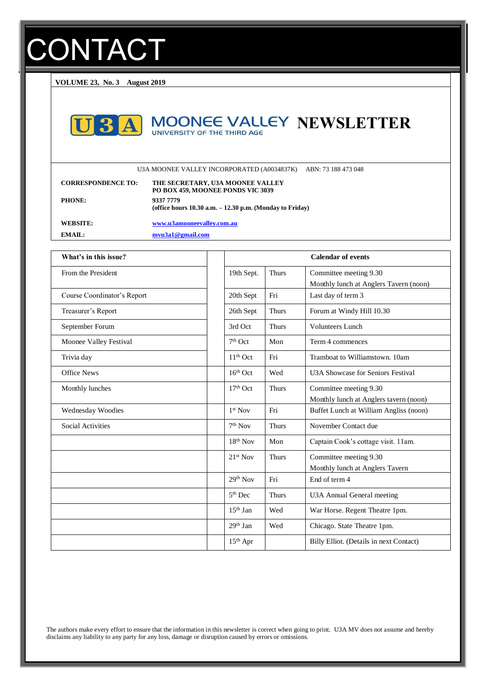# **CONTACT**

**VOLUME 23, No. 3 August 2019**



# **MOONEE VALLEY NEWSLETTER**

U3A MOONEE VALLEY INCORPORATED (A0034837K) ABN: 73 188 473 048

| <b>CORRESPONDENCE TO:</b> | THE SECRETARY, U3A MOONEE VALLEY<br>PO BOX 459, MOONEE PONDS VIC 3039    |
|---------------------------|--------------------------------------------------------------------------|
| <b>PHONE:</b>             | 9337 7779<br>(office hours $10.30$ a.m. $-12.30$ p.m. (Monday to Friday) |
| WEBSITE:                  | www.u3amooneevalley.com.au                                               |
| $EMAII$ .                 | mvu3a1@gmail.com                                                         |

| What's in this issue?       | <b>Calendar of events</b> |              |                                                                  |
|-----------------------------|---------------------------|--------------|------------------------------------------------------------------|
| From the President          | 19th Sept.                | <b>Thurs</b> | Committee meeting 9.30<br>Monthly lunch at Anglers Tavern (noon) |
| Course Coordinator's Report | 20th Sept                 | Fri          | Last day of term 3                                               |
| Treasurer's Report          | 26th Sept                 | <b>Thurs</b> | Forum at Windy Hill 10.30                                        |
| September Forum             | 3rd Oct                   | <b>Thurs</b> | Volunteers Lunch                                                 |
| Moonee Valley Festival      | $7th$ Oct                 | Mon          | Term 4 commences                                                 |
| Trivia day                  | $11th$ Oct                | Fri          | Tramboat to Williamstown, 10am                                   |
| <b>Office News</b>          | $16th$ Oct                | Wed          | U3A Showcase for Seniors Festival                                |
| Monthly lunches             | 17 <sup>th</sup> Oct      | <b>Thurs</b> | Committee meeting 9.30<br>Monthly lunch at Anglers tavern (noon) |
| Wednesday Woodies           | $1st$ Nov                 | Fri          | Buffet Lunch at William Angliss (noon)                           |
| Social Activities           | 7 <sup>th</sup> Nov       | <b>Thurs</b> | November Contact due                                             |
|                             | $18th$ Nov                | Mon          | Captain Cook's cottage visit. 11am.                              |
|                             | $21st$ Nov                | <b>Thurs</b> | Committee meeting 9.30<br>Monthly lunch at Anglers Tavern        |
|                             | $29th$ Nov                | Fri          | End of term 4                                                    |
|                             | $5th$ Dec                 | <b>Thurs</b> | U3A Annual General meeting                                       |
|                             | $15th$ Jan                | Wed          | War Horse. Regent Theatre 1pm.                                   |
|                             | $29th$ Jan                | Wed          | Chicago. State Theatre 1pm.                                      |
|                             | $15th$ Apr                |              | Billy Elliot. (Details in next Contact)                          |

The authors make every effort to ensure that the information in this newsletter is correct when going to print. U3A MV does not assume and hereby disclaims any liability to any party for any loss, damage or disruption caused by errors or omissions.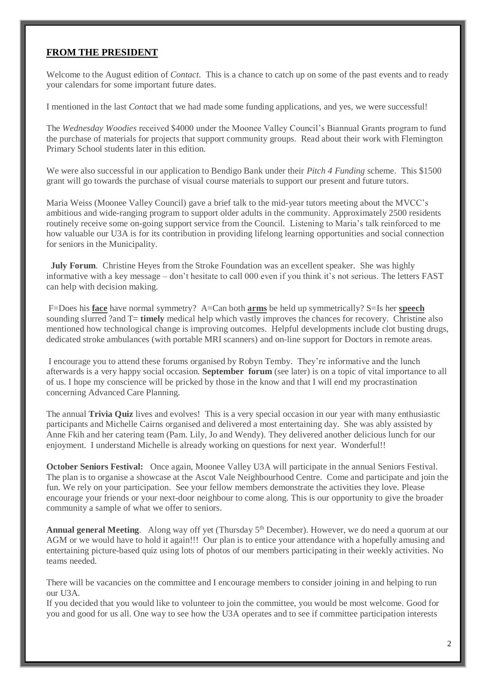#### **FROM THE PRESIDENT**

Welcome to the August edition of *Contact*. This is a chance to catch up on some of the past events and to ready your calendars for some important future dates.

I mentioned in the last *Contac*t that we had made some funding applications, and yes, we were successful!

The *Wednesday Woodies* received \$4000 under the Moonee Valley Council's Biannual Grants program to fund the purchase of materials for projects that support community groups. Read about their work with Flemington Primary School students later in this edition.

We were also successful in our application to Bendigo Bank under their *Pitch 4 Funding* scheme. This \$1500 grant will go towards the purchase of visual course materials to support our present and future tutors.

Maria Weiss (Moonee Valley Council) gave a brief talk to the mid-year tutors meeting about the MVCC's ambitious and wide-ranging program to support older adults in the community. Approximately 2500 residents routinely receive some on-going support service from the Council. Listening to Maria's talk reinforced to me how valuable our U3A is for its contribution in providing lifelong learning opportunities and social connection for seniors in the Municipality.

 **July Forum***.* Christine Heyes from the Stroke Foundation was an excellent speaker. She was highly informative with a key message – don't hesitate to call 000 even if you think it's not serious. The letters FAST can help with decision making.

F=Does his **face** have normal symmetry? A=Can both **arms** be held up symmetrically? S=Is her **speech** sounding slurred ?and T= **timely** medical help which vastly improves the chances for recovery. Christine also mentioned how technological change is improving outcomes. Helpful developments include clot busting drugs, dedicated stroke ambulances (with portable MRI scanners) and on-line support for Doctors in remote areas.

I encourage you to attend these forums organised by Robyn Temby. They're informative and the lunch afterwards is a very happy social occasion*.* **September forum** (see later) is on a topic of vital importance to all of us. I hope my conscience will be pricked by those in the know and that I will end my procrastination concerning Advanced Care Planning.

The annual **Trivia Quiz** lives and evolves! This is a very special occasion in our year with many enthusiastic participants and Michelle Cairns organised and delivered a most entertaining day. She was ably assisted by Anne Fkih and her catering team (Pam. Lily, Jo and Wendy). They delivered another delicious lunch for our enjoyment. I understand Michelle is already working on questions for next year. Wonderful!!

**October Seniors Festival:** Once again, Moonee Valley U3A will participate in the annual Seniors Festival. The plan is to organise a showcase at the Ascot Vale Neighbourhood Centre. Come and participate and join the fun. We rely on your participation. See your fellow members demonstrate the activities they love. Please encourage your friends or your next-door neighbour to come along. This is our opportunity to give the broader community a sample of what we offer to seniors.

Annual general Meeting. Along way off yet (Thursday 5<sup>th</sup> December). However, we do need a quorum at our AGM or we would have to hold it again!!! Our plan is to entice your attendance with a hopefully amusing and entertaining picture-based quiz using lots of photos of our members participating in their weekly activities. No teams needed.

There will be vacancies on the committee and I encourage members to consider joining in and helping to run our U3A.

If you decided that you would like to volunteer to join the committee, you would be most welcome. Good for you and good for us all. One way to see how the U3A operates and to see if committee participation interests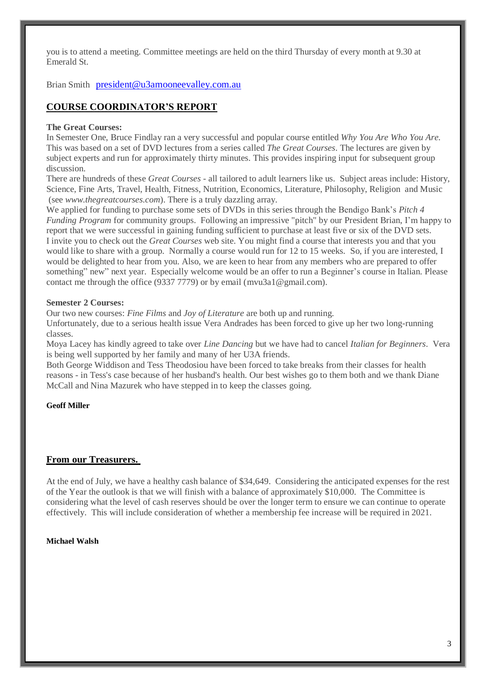you is to attend a meeting. Committee meetings are held on the third Thursday of every month at 9.30 at Emerald St.

Brian Smith [president@u3amooneevalley.com.au](mailto:president@u3amooneevalley.com.au)

#### **COURSE COORDINATOR'S REPORT**

#### **The Great Courses:**

In Semester One, Bruce Findlay ran a very successful and popular course entitled *Why You Are Who You Are.* This was based on a set of DVD lectures from a series called *The Great Courses*. The lectures are given by subject experts and run for approximately thirty minutes. This provides inspiring input for subsequent group discussion.

There are hundreds of these *Great Courses* - all tailored to adult learners like us. Subject areas include: History, Science, Fine Arts, Travel, Health, Fitness, Nutrition, Economics, Literature, Philosophy, Religion and Music (see *[www.thegreatcourses.com](http://www.thegreatcourses.com/)*). There is a truly dazzling array.

We applied for funding to purchase some sets of DVDs in this series through the Bendigo Bank's *Pitch 4 Funding Program* for community groups. Following an impressive "pitch" by our President Brian, I'm happy to report that we were successful in gaining funding sufficient to purchase at least five or six of the DVD sets. I invite you to check out the *Great Courses* web site. You might find a course that interests you and that you would like to share with a group. Normally a course would run for 12 to 15 weeks. So, if you are interested, I would be delighted to hear from you. Also, we are keen to hear from any members who are prepared to offer something" new" next year. Especially welcome would be an offer to run a Beginner's course in Italian. Please contact me through the office (9337 7779) or by email [\(mvu3a1@gmail.com\)](mailto:mvu3a1@gmail.com).

#### **Semester 2 Courses:**

Our two new courses: *Fine Films* and *Joy of Literature* are both up and running.

Unfortunately, due to a serious health issue Vera Andrades has been forced to give up her two long-running classes.

Moya Lacey has kindly agreed to take over *Line Dancing* but we have had to cancel *Italian for Beginners*. Vera is being well supported by her family and many of her U3A friends.

Both George Widdison and Tess Theodosiou have been forced to take breaks from their classes for health reasons - in Tess's case because of her husband's health. Our best wishes go to them both and we thank Diane McCall and Nina Mazurek who have stepped in to keep the classes going.

#### **Geoff Miller**

#### **From our Treasurers.**

At the end of July, we have a healthy cash balance of \$34,649. Considering the anticipated expenses for the rest of the Year the outlook is that we will finish with a balance of approximately \$10,000. The Committee is considering what the level of cash reserves should be over the longer term to ensure we can continue to operate effectively. This will include consideration of whether a membership fee increase will be required in 2021.

#### **Michael Walsh**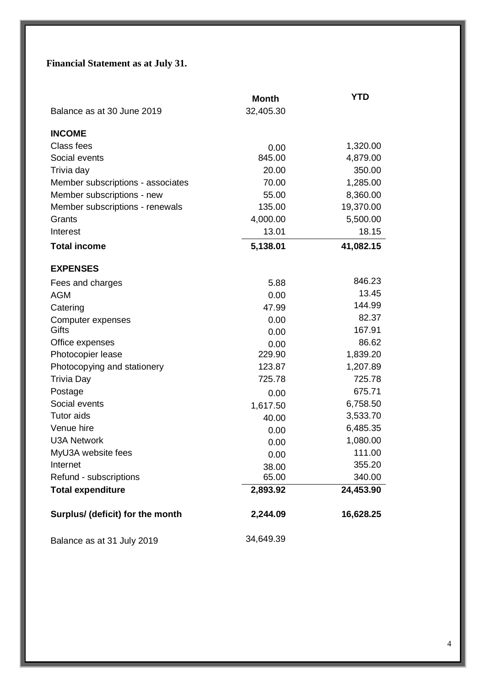# **Financial Statement as at July 31.**

|                                   | <b>Month</b> | <b>YTD</b> |
|-----------------------------------|--------------|------------|
| Balance as at 30 June 2019        | 32,405.30    |            |
| <b>INCOME</b>                     |              |            |
| Class fees                        | 0.00         | 1,320.00   |
| Social events                     | 845.00       | 4,879.00   |
| Trivia day                        | 20.00        | 350.00     |
| Member subscriptions - associates | 70.00        | 1,285.00   |
| Member subscriptions - new        | 55.00        | 8,360.00   |
| Member subscriptions - renewals   | 135.00       | 19,370.00  |
| Grants                            | 4,000.00     | 5,500.00   |
| Interest                          | 13.01        | 18.15      |
| <b>Total income</b>               | 5,138.01     | 41,082.15  |
| <b>EXPENSES</b>                   |              |            |
| Fees and charges                  | 5.88         | 846.23     |
| <b>AGM</b>                        | 0.00         | 13.45      |
| Catering                          | 47.99        | 144.99     |
| Computer expenses                 | 0.00         | 82.37      |
| Gifts                             | 0.00         | 167.91     |
| Office expenses                   | 0.00         | 86.62      |
| Photocopier lease                 | 229.90       | 1,839.20   |
| Photocopying and stationery       | 123.87       | 1,207.89   |
| <b>Trivia Day</b>                 | 725.78       | 725.78     |
| Postage                           | 0.00         | 675.71     |
| Social events                     | 1,617.50     | 6,758.50   |
| Tutor aids                        | 40.00        | 3,533.70   |
| Venue hire                        | 0.00         | 6,485.35   |
| <b>U3A Network</b>                | 0.00         | 1,080.00   |
| MyU3A website fees                | 0.00         | 111.00     |
| Internet                          | 38.00        | 355.20     |
| Refund - subscriptions            | 65.00        | 340.00     |
| <b>Total expenditure</b>          | 2,893.92     | 24,453.90  |
| Surplus/ (deficit) for the month  | 2,244.09     | 16,628.25  |
| Balance as at 31 July 2019        | 34,649.39    |            |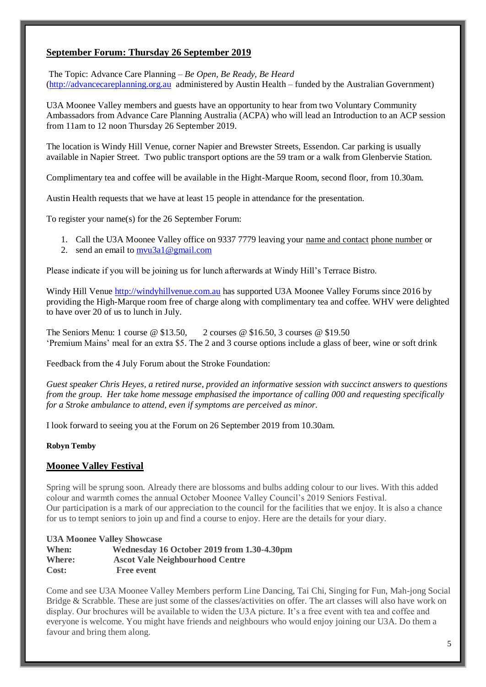#### **September Forum: Thursday 26 September 2019**

The Topic: Advance Care Planning – *Be Open, Be Ready, Be Heard* [\(http://advancecareplanning.org.au](http://advancecareplanning.org.au/) administered by Austin Health – funded by the Australian Government)

U3A Moonee Valley members and guests have an opportunity to hear from two Voluntary Community Ambassadors from Advance Care Planning Australia (ACPA) who will lead an Introduction to an ACP session from 11am to 12 noon Thursday 26 September 2019.

The location is Windy Hill Venue, corner Napier and Brewster Streets, Essendon. Car parking is usually available in Napier Street. Two public transport options are the 59 tram or a walk from Glenbervie Station.

Complimentary tea and coffee will be available in the Hight-Marque Room, second floor, from 10.30am.

Austin Health requests that we have at least 15 people in attendance for the presentation.

To register your name(s) for the 26 September Forum:

- 1. Call the U3A Moonee Valley office on 9337 7779 leaving your name and contact phone number or
- 2. send an email to [mvu3a1@gmail.com](mailto:mvu3a1@gmail.com)

Please indicate if you will be joining us for lunch afterwards at Windy Hill's Terrace Bistro.

Windy Hill Venue [http://windyhillvenue.com.au](http://windyhillvenue.com.au/) has supported U3A Moonee Valley Forums since 2016 by providing the High-Marque room free of charge along with complimentary tea and coffee. WHV were delighted to have over 20 of us to lunch in July.

The Seniors Menu: 1 course @ \$13.50, 2 courses @ \$16.50, 3 courses @ \$19.50 'Premium Mains' meal for an extra \$5. The 2 and 3 course options include a glass of beer, wine or soft drink

Feedback from the 4 July Forum about the Stroke Foundation:

*Guest speaker Chris Heyes, a retired nurse, provided an informative session with succinct answers to questions from the group. Her take home message emphasised the importance of calling 000 and requesting specifically for a Stroke ambulance to attend, even if symptoms are perceived as minor.* 

I look forward to seeing you at the Forum on 26 September 2019 from 10.30am.

#### **Robyn Temby**

#### **Moonee Valley Festival**

Spring will be sprung soon. Already there are blossoms and bulbs adding colour to our lives. With this added colour and warmth comes the annual October Moonee Valley Council's 2019 Seniors Festival. Our participation is a mark of our appreciation to the council for the facilities that we enjoy. It is also a chance for us to tempt seniors to join up and find a course to enjoy. Here are the details for your diary.

#### **U3A Moonee Valley Showcase**

| When:  | Wednesday 16 October 2019 from 1.30-4.30pm |
|--------|--------------------------------------------|
| Where: | <b>Ascot Vale Neighbourhood Centre</b>     |
| Cost:  | <b>Free event</b>                          |

Come and see U3A Moonee Valley Members perform Line Dancing, Tai Chi, Singing for Fun, Mah-jong Social Bridge & Scrabble. These are just some of the classes/activities on offer. The art classes will also have work on display. Our brochures will be available to widen the U3A picture. It's a free event with tea and coffee and everyone is welcome. You might have friends and neighbours who would enjoy joining our U3A. Do them a favour and bring them along.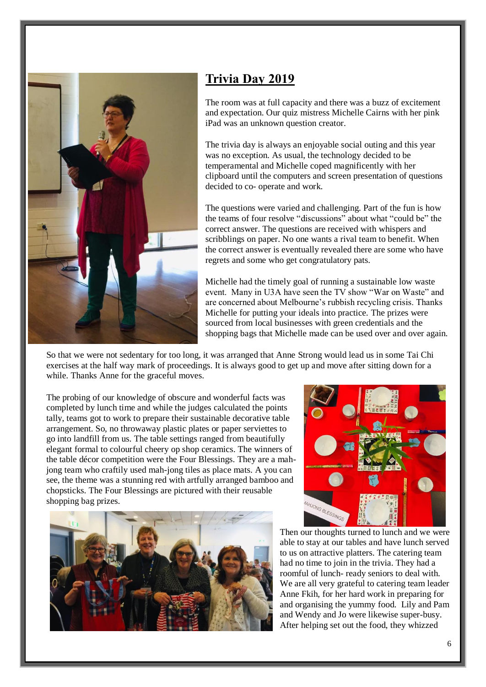

# **Trivia Day 2019**

The room was at full capacity and there was a buzz of excitement and expectation. Our quiz mistress Michelle Cairns with her pink iPad was an unknown question creator.

The trivia day is always an enjoyable social outing and this year was no exception. As usual, the technology decided to be temperamental and Michelle coped magnificently with her clipboard until the computers and screen presentation of questions decided to co- operate and work.

The questions were varied and challenging. Part of the fun is how the teams of four resolve "discussions" about what "could be" the correct answer. The questions are received with whispers and scribblings on paper. No one wants a rival team to benefit. When the correct answer is eventually revealed there are some who have regrets and some who get congratulatory pats.

Michelle had the timely goal of running a sustainable low waste event. Many in U3A have seen the TV show "War on Waste" and are concerned about Melbourne's rubbish recycling crisis. Thanks Michelle for putting your ideals into practice. The prizes were sourced from local businesses with green credentials and the shopping bags that Michelle made can be used over and over again.

So that we were not sedentary for too long, it was arranged that Anne Strong would lead us in some Tai Chi exercises at the half way mark of proceedings. It is always good to get up and move after sitting down for a while. Thanks Anne for the graceful moves.

The probing of our knowledge of obscure and wonderful facts was completed by lunch time and while the judges calculated the points tally, teams got to work to prepare their sustainable decorative table arrangement. So, no throwaway plastic plates or paper serviettes to go into landfill from us. The table settings ranged from beautifully elegant formal to colourful cheery op shop ceramics. The winners of the table décor competition were the Four Blessings. They are a mahjong team who craftily used mah-jong tiles as place mats. A you can see, the theme was a stunning red with artfully arranged bamboo and chopsticks. The Four Blessings are pictured with their reusable shopping bag prizes.





Then our thoughts turned to lunch and we were able to stay at our tables and have lunch served to us on attractive platters. The catering team had no time to join in the trivia. They had a roomful of lunch- ready seniors to deal with. We are all very grateful to catering team leader Anne Fkih, for her hard work in preparing for and organising the yummy food. Lily and Pam and Wendy and Jo were likewise super-busy. After helping set out the food, they whizzed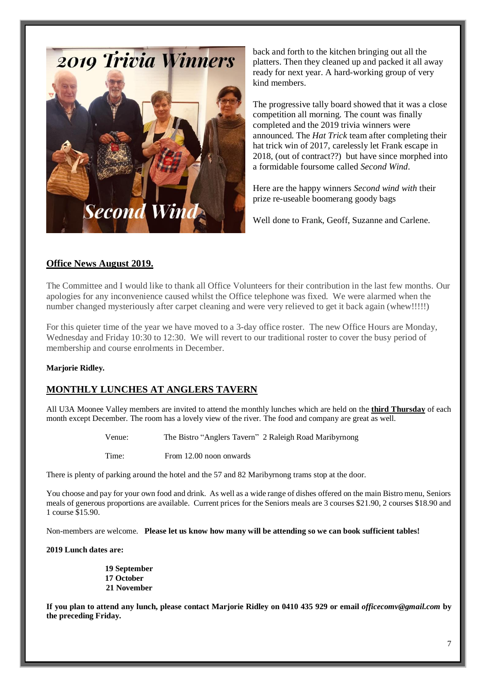

back and forth to the kitchen bringing out all the platters. Then they cleaned up and packed it all away ready for next year. A hard-working group of very kind members.

The progressive tally board showed that it was a close competition all morning. The count was finally completed and the 2019 trivia winners were announced. The *Hat Trick* team after completing their hat trick win of 2017, carelessly let Frank escape in 2018, (out of contract??) but have since morphed into a formidable foursome called *Second Wind*.

Here are the happy winners *Second wind with* their prize re-useable boomerang goody bags

Well done to Frank, Geoff, Suzanne and Carlene.

#### **Office News August 2019.**

The Committee and I would like to thank all Office Volunteers for their contribution in the last few months. Our apologies for any inconvenience caused whilst the Office telephone was fixed. We were alarmed when the number changed mysteriously after carpet cleaning and were very relieved to get it back again (whew!!!!!)

For this quieter time of the year we have moved to a 3-day office roster. The new Office Hours are Monday, Wednesday and Friday 10:30 to 12:30. We will revert to our traditional roster to cover the busy period of membership and course enrolments in December.

#### **Marjorie Ridley.**

#### **MONTHLY LUNCHES AT ANGLERS TAVERN**

All U3A Moonee Valley members are invited to attend the monthly lunches which are held on the **third Thursday** of each month except December. The room has a lovely view of the river. The food and company are great as well.

| Venue: | The Bistro "Anglers Tavern" 2 Raleigh Road Maribyrnong |  |  |
|--------|--------------------------------------------------------|--|--|
|--------|--------------------------------------------------------|--|--|

Time: From 12.00 noon onwards

There is plenty of parking around the hotel and the 57 and 82 Maribyrnong trams stop at the door.

You choose and pay for your own food and drink. As well as a wide range of dishes offered on the main Bistro menu, Seniors meals of generous proportions are available. Current prices for the Seniors meals are 3 courses \$21.90, 2 courses \$18.90 and 1 course \$15.90.

Non-members are welcome. **Please let us know how many will be attending so we can book sufficient tables!**

**2019 Lunch dates are:**

**19 September 17 October 21 November**

**If you plan to attend any lunch, please contact Marjorie Ridley on 0410 435 929 or email** *officecomv@gmail.com* **by the preceding Friday.**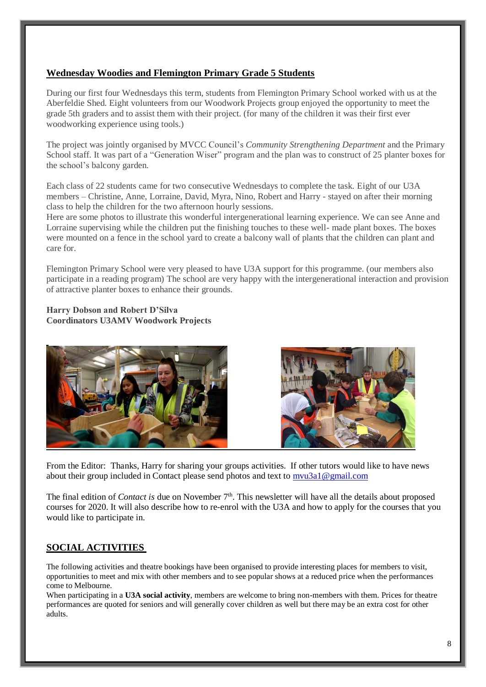#### **Wednesday Woodies and Flemington Primary Grade 5 Students**

During our first four Wednesdays this term, students from Flemington Primary School worked with us at the Aberfeldie Shed. Eight volunteers from our Woodwork Projects group enjoyed the opportunity to meet the grade 5th graders and to assist them with their project. (for many of the children it was their first ever woodworking experience using tools.)

The project was jointly organised by MVCC Council's *Community Strengthening Department* and the Primary School staff. It was part of a "Generation Wiser" program and the plan was to construct of 25 planter boxes for the school's balcony garden.

Each class of 22 students came for two consecutive Wednesdays to complete the task. Eight of our U3A members – Christine, Anne, Lorraine, David, Myra, Nino, Robert and Harry - stayed on after their morning class to help the children for the two afternoon hourly sessions.

Here are some photos to illustrate this wonderful intergenerational learning experience. We can see Anne and Lorraine supervising while the children put the finishing touches to these well- made plant boxes. The boxes were mounted on a fence in the school yard to create a balcony wall of plants that the children can plant and care for.

Flemington Primary School were very pleased to have U3A support for this programme. (our members also participate in a reading program) The school are very happy with the intergenerational interaction and provision of attractive planter boxes to enhance their grounds.

#### **Harry Dobson and Robert D'Silva Coordinators U3AMV Woodwork Projects**





From the Editor: Thanks, Harry for sharing your groups activities. If other tutors would like to have news about their group included in Contact please send photos and text to [mvu3a1@gmail.com](mailto:mvu3a1@gmail.com) 

The final edition of *Contact is* due on November 7<sup>th</sup>. This newsletter will have all the details about proposed courses for 2020. It will also describe how to re-enrol with the U3A and how to apply for the courses that you would like to participate in.

### **SOCIAL ACTIVITIES**

The following activities and theatre bookings have been organised to provide interesting places for members to visit, opportunities to meet and mix with other members and to see popular shows at a reduced price when the performances come to Melbourne.

When participating in a **U3A social activity**, members are welcome to bring non-members with them. Prices for theatre performances are quoted for seniors and will generally cover children as well but there may be an extra cost for other adults.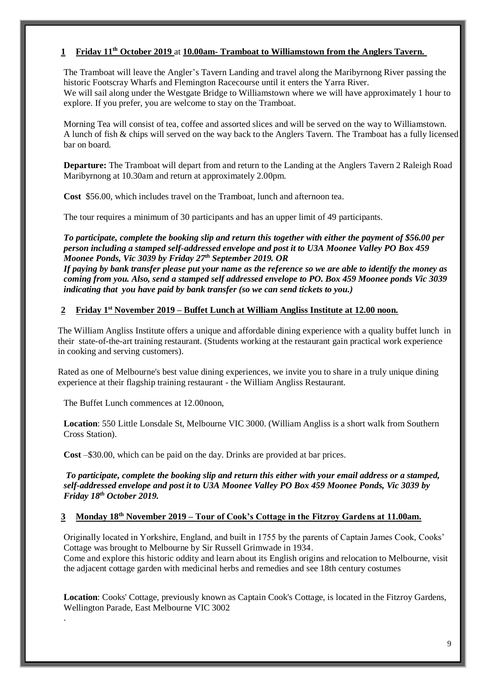#### **1 Friday 11th October 2019** at **10.00am- Tramboat to Williamstown from the Anglers Tavern.**

The Tramboat will leave the Angler's Tavern Landing and travel along the Maribyrnong River passing the historic Footscray Wharfs and Flemington Racecourse until it enters the Yarra River. We will sail along under the Westgate Bridge to Williamstown where we will have approximately 1 hour to explore. If you prefer, you are welcome to stay on the Tramboat.

Morning Tea will consist of tea, coffee and assorted slices and will be served on the way to Williamstown. A lunch of fish & chips will served on the way back to the Anglers Tavern. The Tramboat has a fully licensed bar on board.

**Departure:** The Tramboat will depart from and return to the Landing at the Anglers Tavern 2 Raleigh Road Maribyrnong at 10.30am and return at approximately 2.00pm.

**Cost** \$56.00, which includes travel on the Tramboat, lunch and afternoon tea.

The tour requires a minimum of 30 participants and has an upper limit of 49 participants.

*To participate, complete the booking slip and return this together with either the payment of \$56.00 per person including a stamped self-addressed envelope and post it to U3A Moonee Valley PO Box 459 Moonee Ponds, Vic 3039 by Friday 27th September 2019. OR* 

*If paying by bank transfer please put your name as the reference so we are able to identify the money as coming from you. Also, send a stamped self addressed envelope to PO. Box 459 Moonee ponds Vic 3039 indicating that you have paid by bank transfer (so we can send tickets to you.)*

#### **2 Friday 1st November 2019 – Buffet Lunch at William Angliss Institute at 12.00 noon.**

The William Angliss Institute offers a unique and affordable dining experience with a quality buffet lunch in their state-of-the-art training restaurant. (Students working at the restaurant gain practical work experience in cooking and serving customers).

Rated as one of Melbourne's best value dining experiences, we invite you to share in a truly unique dining experience at their flagship training restaurant - the William Angliss Restaurant.

The Buffet Lunch commences at 12.00noon,

.

**Location**: 550 Little Lonsdale St, Melbourne VIC 3000. (William Angliss is a short walk from Southern Cross Station).

**Cost** –\$30.00, which can be paid on the day. Drinks are provided at bar prices.

*To participate, complete the booking slip and return this either with your email address or a stamped, self-addressed envelope and post it to U3A Moonee Valley PO Box 459 Moonee Ponds, Vic 3039 by Friday 18th October 2019.*

#### **3 Monday 18th November 2019 – Tour of Cook's Cottage in the Fitzroy Gardens at 11.00am.**

Originally located in Yorkshire, England, and built in 1755 by the parents of Captain James Cook, Cooks' Cottage was brought to Melbourne by Sir Russell Grimwade in 1934.

Come and explore this historic oddity and learn about its English origins and relocation to Melbourne, visit the adjacent cottage garden with medicinal herbs and remedies and see 18th century costumes

**Location**: Cooks' Cottage, previously known as Captain Cook's Cottage, is located in the Fitzroy Gardens, Wellington Parade, East Melbourne VIC 3002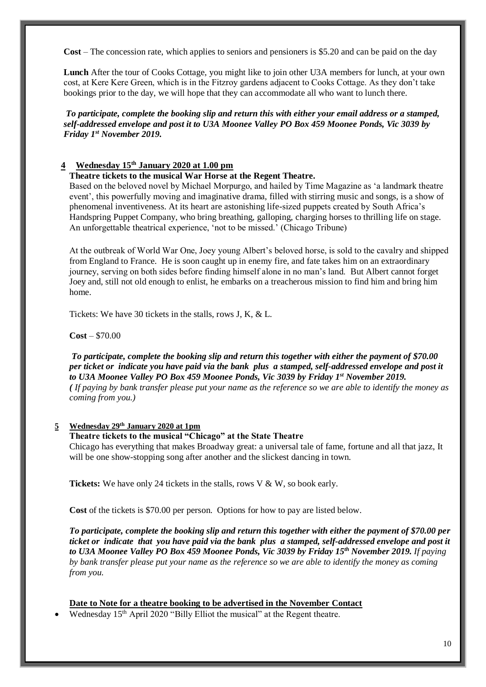**Cost** – The concession rate, which applies to seniors and pensioners is \$5.20 and can be paid on the day

**Lunch** After the tour of Cooks Cottage, you might like to join other U3A members for lunch, at your own cost, at Kere Kere Green, which is in the Fitzroy gardens adjacent to Cooks Cottage. As they don't take bookings prior to the day, we will hope that they can accommodate all who want to lunch there.

*To participate, complete the booking slip and return this with either your email address or a stamped, self-addressed envelope and post it to U3A Moonee Valley PO Box 459 Moonee Ponds, Vic 3039 by Friday 1st November 2019.*

#### **4 Wednesday 15th January 2020 at 1.00 pm**

#### **Theatre tickets to the musical War Horse at the Regent Theatre.**

Based on the beloved novel by Michael Morpurgo, and hailed by Time Magazine as 'a landmark theatre event', this powerfully moving and imaginative drama, filled with stirring music and songs, is a show of phenomenal inventiveness. At its heart are astonishing life-sized puppets created by South Africa's Handspring Puppet Company, who bring breathing, galloping, charging horses to thrilling life on stage. An unforgettable theatrical experience, 'not to be missed.' (Chicago Tribune)

At the outbreak of World War One, Joey young Albert's beloved horse, is sold to the cavalry and shipped from England to France. He is soon caught up in enemy fire, and fate takes him on an extraordinary journey, serving on both sides before finding himself alone in no man's land. But Albert cannot forget Joey and, still not old enough to enlist, he embarks on a treacherous mission to find him and bring him home.

Tickets: We have 30 tickets in the stalls, rows J, K, & L.

**Cost** – \$70.00

*To participate, complete the booking slip and return this together with either the payment of \$70.00 per ticket or indicate you have paid via the bank plus a stamped, self-addressed envelope and post it to U3A Moonee Valley PO Box 459 Moonee Ponds, Vic 3039 by Friday 1st November 2019. ( If paying by bank transfer please put your name as the reference so we are able to identify the money as coming from you.)*

#### **5 Wednesday 29th January 2020 at 1pm**

#### **Theatre tickets to the musical "Chicago" at the State Theatre**

Chicago has everything that makes Broadway great: a universal tale of fame, fortune and all that jazz, It will be one show-stopping song after another and the slickest dancing in town.

**Tickets:** We have only 24 tickets in the stalls, rows V & W, so book early.

**Cost** of the tickets is \$70.00 per person. Options for how to pay are listed below.

*To participate, complete the booking slip and return this together with either the payment of \$70.00 per ticket or indicate that you have paid via the bank plus a stamped, self-addressed envelope and post it to U3A Moonee Valley PO Box 459 Moonee Ponds, Vic 3039 by Friday 15th November 2019. If paying by bank transfer please put your name as the reference so we are able to identify the money as coming from you.*

#### **Date to Note for a theatre booking to be advertised in the November Contact**

Wednesday 15<sup>th</sup> April 2020 "Billy Elliot the musical" at the Regent theatre.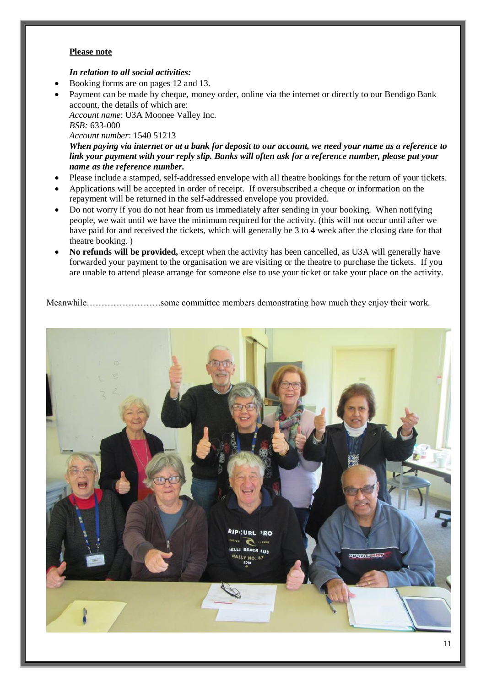#### **Please note**

#### *In relation to all social activities:*

- Booking forms are on pages 12 and 13.
- Payment can be made by cheque, money order, online via the internet or directly to our Bendigo Bank account, the details of which are:

*Account name*: U3A Moonee Valley Inc. *BSB:* 633-000

*Account number*: 1540 51213

*When paying via internet or at a bank for deposit to our account, we need your name as a reference to link your payment with your reply slip. Banks will often ask for a reference number, please put your name as the reference number.*

- Please include a stamped, self-addressed envelope with all theatre bookings for the return of your tickets.
- Applications will be accepted in order of receipt. If oversubscribed a cheque or information on the repayment will be returned in the self-addressed envelope you provided.
- Do not worry if you do not hear from us immediately after sending in your booking. When notifying people, we wait until we have the minimum required for the activity. (this will not occur until after we have paid for and received the tickets, which will generally be 3 to 4 week after the closing date for that theatre booking. )
- **No refunds will be provided,** except when the activity has been cancelled, as U3A will generally have forwarded your payment to the organisation we are visiting or the theatre to purchase the tickets. If you are unable to attend please arrange for someone else to use your ticket or take your place on the activity.

Meanwhile…………………….some committee members demonstrating how much they enjoy their work.

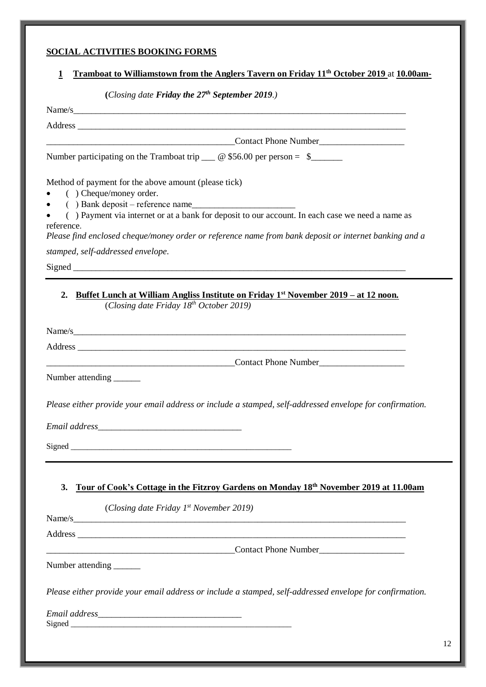# **SOCIAL ACTIVITIES BOOKING FORMS**

## **1 Tramboat to Williamstown from the Anglers Tavern on Friday 11th October 2019** at **10.00am-**

**(***Closing date Friday the 27th September 2019.)*

| (Closing date <b>Friday the 21<sup>th</sup> September 2019</b> .)                                                                                                                                                              |
|--------------------------------------------------------------------------------------------------------------------------------------------------------------------------------------------------------------------------------|
| Name/s                                                                                                                                                                                                                         |
| Address and the contract of the contract of the contract of the contract of the contract of the contract of the contract of the contract of the contract of the contract of the contract of the contract of the contract of th |
| <b>Contact Phone Number Contact Phone Number</b>                                                                                                                                                                               |
| Number participating on the Tramboat trip $\_\_\_\_\$ $\otimes$ \$56.00 per person = \$                                                                                                                                        |
| Method of payment for the above amount (please tick)<br>() Cheque/money order.<br>() Payment via internet or at a bank for deposit to our account. In each case we need a name as<br>reference.                                |
| Please find enclosed cheque/money order or reference name from bank deposit or internet banking and a                                                                                                                          |
| stamped, self-addressed envelope.                                                                                                                                                                                              |
|                                                                                                                                                                                                                                |
| Buffet Lunch at William Angliss Institute on Friday 1 <sup>st</sup> November 2019 – at 12 noon.<br>2.<br>(Closing date Friday 18th October 2019)                                                                               |
|                                                                                                                                                                                                                                |
|                                                                                                                                                                                                                                |
|                                                                                                                                                                                                                                |
| Number attending _______                                                                                                                                                                                                       |
| Please either provide your email address or include a stamped, self-addressed envelope for confirmation.                                                                                                                       |
|                                                                                                                                                                                                                                |
|                                                                                                                                                                                                                                |
|                                                                                                                                                                                                                                |
| Tour of Cook's Cottage in the Fitzroy Gardens on Monday 18th November 2019 at 11.00am<br>3.                                                                                                                                    |
| (Closing date Friday $1^{st}$ November 2019)                                                                                                                                                                                   |
| Name/s                                                                                                                                                                                                                         |
|                                                                                                                                                                                                                                |
| Contact Phone Number                                                                                                                                                                                                           |
| Number attending _______                                                                                                                                                                                                       |
| Please either provide your email address or include a stamped, self-addressed envelope for confirmation.                                                                                                                       |
|                                                                                                                                                                                                                                |